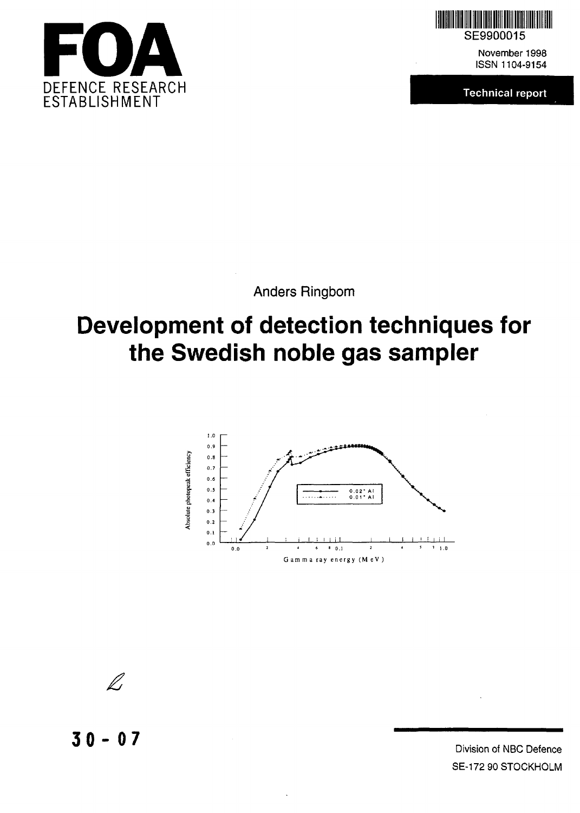



November 1998 ISSN 1104-9154

**Technical report**

Anders Ringbom

# **Development of detection techniques for the Swedish noble gas sampler**



l i

**3 0- 07** Division of NBC Defence

SE-172 90 STOCKHOLM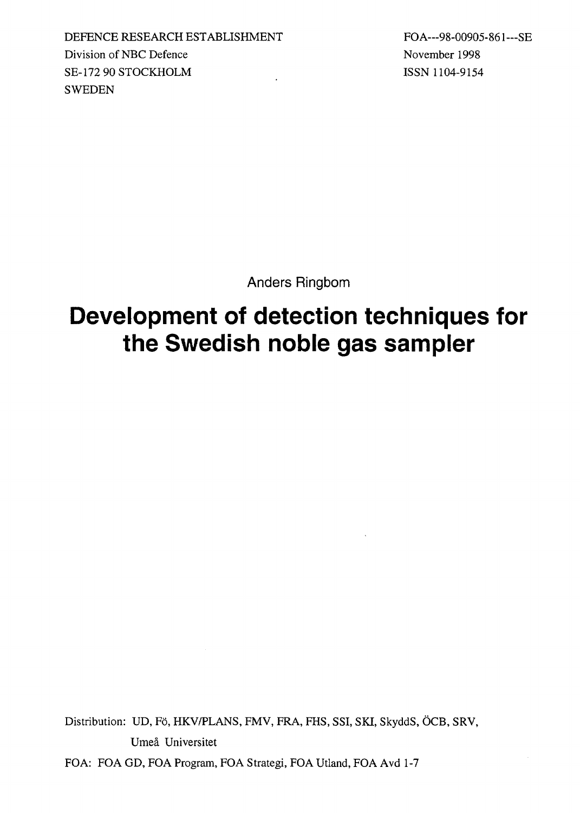DEFENCE RESEARCH ESTABLISHMENT FOA---98-00905-861---SE Division of NBC Defence November 1998 SE-172 90 STOCKHOLM ISSN 1104-9154 **SWEDEN** 

Anders Ringbom

# **Development of detection techniques for the Swedish noble gas sampler**

Distribution: UD, Fö, HKV/PLANS, FMV, FRA, FHS, SSI, SKI, SkyddS, ÖCB, SRV, Umea Universitet

FOA: FOA GD, FOA Program, FOA Strategi, FOA Utland, FOA Avd 1-7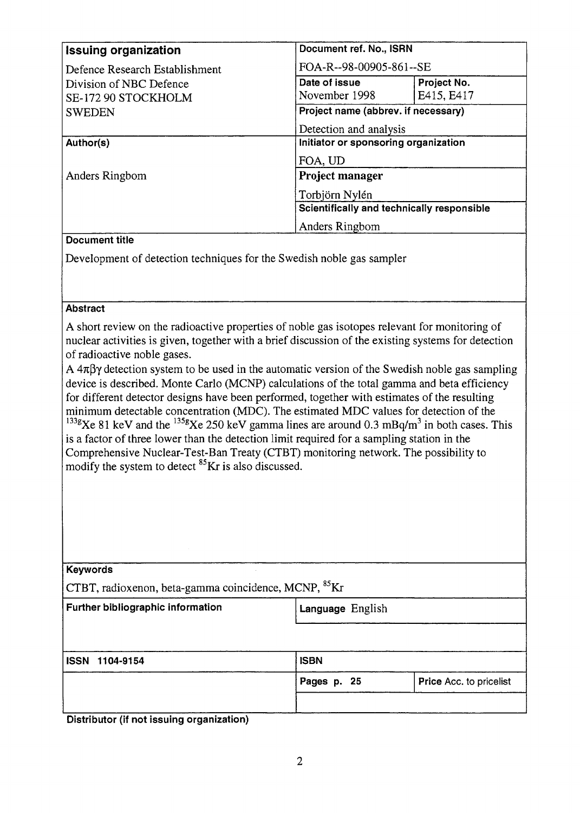| <b>Issuing organization</b>                | Document ref. No., ISRN              |             |  |
|--------------------------------------------|--------------------------------------|-------------|--|
| Defence Research Establishment             | FOA-R--98-00905-861--SE              |             |  |
| Division of NBC Defence                    | Date of issue                        | Project No. |  |
| SE-172 90 STOCKHOLM                        | November 1998                        | E415, E417  |  |
| <b>SWEDEN</b>                              | Project name (abbrev. if necessary)  |             |  |
|                                            | Detection and analysis               |             |  |
| Author(s)                                  | Initiator or sponsoring organization |             |  |
|                                            | FOA, UD                              |             |  |
| Anders Ringbom                             | Project manager                      |             |  |
|                                            | Torbjörn Nylén                       |             |  |
| Scientifically and technically responsible |                                      |             |  |
|                                            | Anders Ringbom                       |             |  |

#### Document title

Development of detection techniques for the Swedish noble gas sampler

#### **Abstract**

A short review on the radioactive properties of noble gas isotopes relevant for monitoring of nuclear activities is given, together with a brief discussion of the existing systems for detection of radioactive noble gases.

A  $4\pi\beta\gamma$  detection system to be used in the automatic version of the Swedish noble gas sampling device is described. Monte Carlo (MCNP) calculations of the total gamma and beta efficiency for different detector designs have been performed, together with estimates of the resulting minimum detectable concentration (MDC). The estimated MDC values for detection of the <sup>133g</sup>Xe 81 keV and the <sup>135g</sup>Xe 250 keV gamma lines are around 0.3 mBq/m<sup>3</sup> in both cases. This is a factor of three lower than the detection limit required for a sampling station in the

Comprehensive Nuclear-Test-Ban Treaty (CTBT) monitoring network. The possibility to modify the system to detect <sup>85</sup>Kr is also discussed.

| <b>Keywords</b>                                                  |             |                         |  |  |
|------------------------------------------------------------------|-------------|-------------------------|--|--|
| CTBT, radioxenon, beta-gamma coincidence, MCNP, <sup>85</sup> Kr |             |                         |  |  |
| <b>Further bibliographic information</b>                         |             | Language English        |  |  |
|                                                                  |             |                         |  |  |
| <b>ISSN 1104-9154</b>                                            | <b>ISBN</b> |                         |  |  |
|                                                                  | Pages p. 25 | Price Acc. to pricelist |  |  |
|                                                                  |             |                         |  |  |

Distributor (if not issuing organization)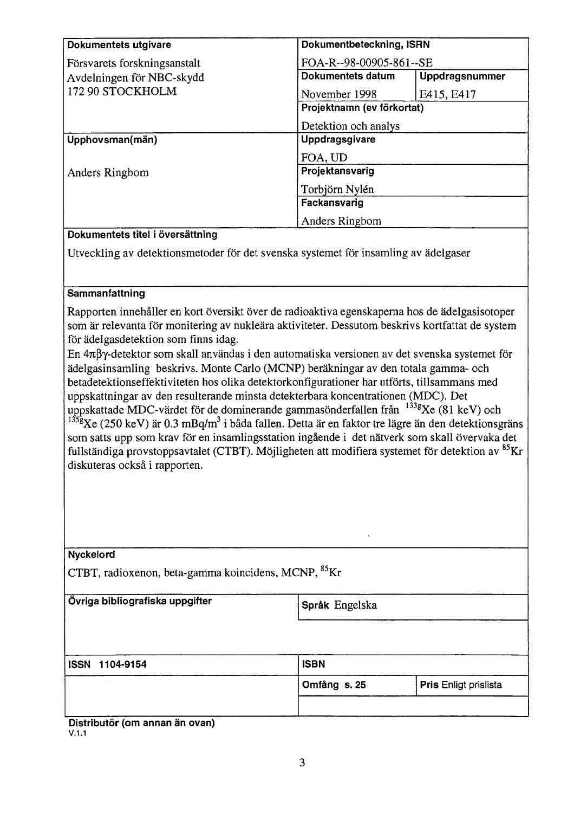| <b>Dokumentets utgivare</b>                                                         | Dokumentbeteckning, ISRN   |                |  |
|-------------------------------------------------------------------------------------|----------------------------|----------------|--|
| Försvarets forskningsanstalt                                                        | FOA-R--98-00905-861--SE    |                |  |
| Avdelningen för NBC-skydd                                                           | Dokumentets datum          | Uppdragsnummer |  |
| 172 90 STOCKHOLM                                                                    | November 1998              | E415, E417     |  |
|                                                                                     | Projektnamn (ev förkortat) |                |  |
|                                                                                     | Detektion och analys       |                |  |
| Upphovsman(män)                                                                     | Uppdragsgivare             |                |  |
|                                                                                     | FOA, UD                    |                |  |
| Anders Ringbom                                                                      | Projektansvarig            |                |  |
|                                                                                     | Torbjörn Nylén             |                |  |
|                                                                                     | Fackansvarig               |                |  |
|                                                                                     | Anders Ringbom             |                |  |
| Dokumentets titel i översättning                                                    |                            |                |  |
| Utveckling av detektionsmetoder för det svenska systemet för insamling av ädelgaser |                            |                |  |

#### **Sammanfattning**

Rapporten innehåller en kort översikt över de radioaktiva egenskaperna hos de ädelgasisotoper som är relevanta för monitering av nukleära aktiviteter. Dessutom beskrivs kortfattat de system för ädelgasdetektion som finns idag.

En  $4\pi\beta\gamma$ -detektor som skall användas i den automatiska versionen av det svenska systemet för ädelgasinsamling beskrivs. Monte Carlo (MCNP) beräkningar av den totala gamma- och betadetektionseffektiviteten hos olika detektorkonfigurationer har utförts, tillsammans med uppskattningar av den resulterande minsta detekterbara koncentrationen (MDC). Det uppskattade MDC-värdet för de dominerande gammasönderfallen från  $133g$ Ke (81 keV) och <sup>135g</sup>Xe (250 keV) är 0.3 mBq/m<sup>3</sup> i båda fallen. Detta är en faktor tre lägre än den detektionsgräns som satts upp som krav för en insamlingsstation ingående i det nätverk som skall övervaka det fullständiga provstoppsavtalet (CTBT). Möjligheten att modifiera systemet för detektion av <sup>85</sup>Kr

diskuteras också i rapporten.

| Nyckelord |  |
|-----------|--|
|-----------|--|

CTBT, radioxenon, beta-gamma koincidens, MCNP, <sup>85</sup>Kr

**Övriga bibliografiska uppgifter**

Språk Engelska

|--|

| -- | $-$ 05 |  |  | ▀ |
|----|--------|--|--|---|

**Omfång s. 25 Pris** Enligt prislista

Distributör (om annan än ovan) V.1.1

**ISBN**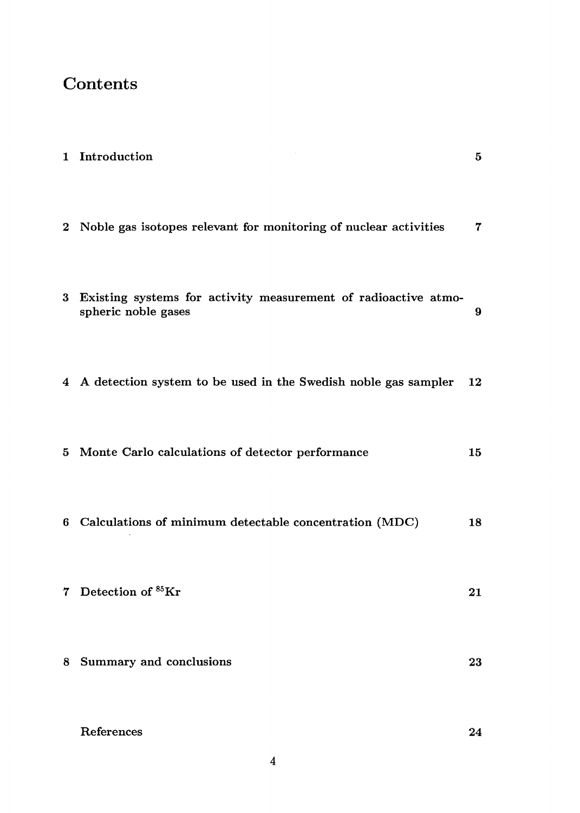# Contents

|   | 1 Introduction                                                                          | $\bf{5}$    |
|---|-----------------------------------------------------------------------------------------|-------------|
|   | 2 Noble gas isotopes relevant for monitoring of nuclear activities                      | $\mathbf 7$ |
|   | 3 Existing systems for activity measurement of radioactive atmo-<br>spheric noble gases | 9           |
|   | 4 A detection system to be used in the Swedish noble gas sampler                        | 12          |
|   | 5 Monte Carlo calculations of detector performance                                      | 15          |
| 6 | Calculations of minimum detectable concentration (MDC)                                  | 18          |
|   | 7 Detection of <sup>85</sup> Kr                                                         | 21          |
| 8 | Summary and conclusions                                                                 | 23          |
|   | References                                                                              | 24          |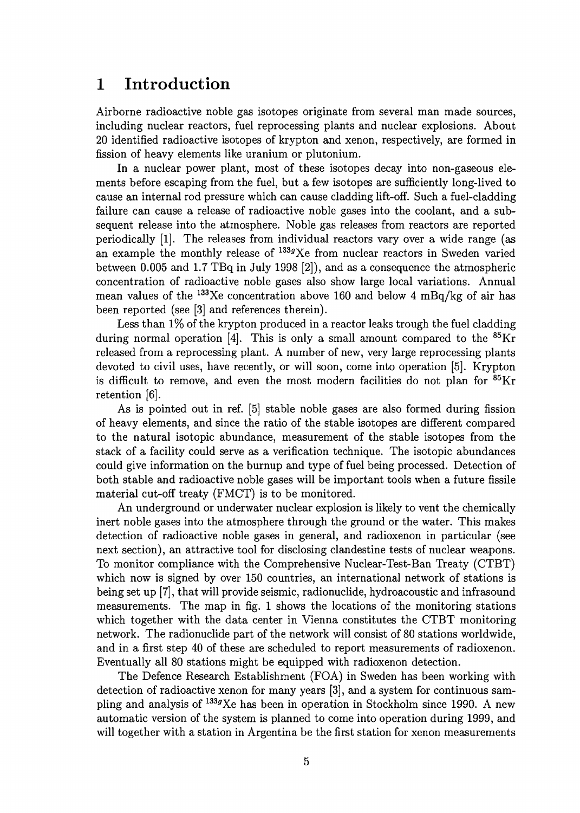### 1 Introduction

Airborne radioactive noble gas isotopes originate from several man made sources, including nuclear reactors, fuel reprocessing plants and nuclear explosions. About 20 identified radioactive isotopes of krypton and xenon, respectively, are formed in fission of heavy elements like uranium or plutonium.

In a nuclear power plant, most of these isotopes decay into non-gaseous elements before escaping from the fuel, but a few isotopes are sufficiently long-lived to cause an internal rod pressure which can cause cladding lift-off. Such a fuel-cladding failure can cause a release of radioactive noble gases into the coolant, and a subsequent release into the atmosphere. Noble gas releases from reactors are reported periodically [1]. The releases from individual reactors vary over a wide range (as an example the monthly release of <sup>133g</sup>Xe from nuclear reactors in Sweden varied between 0.005 and 1.7 TBq in July 1998 [2]), and as a consequence the atmospheric concentration of radioactive noble gases also show large local variations. Annual mean values of the <sup>133</sup>Xe concentration above 160 and below 4 mBq/kg of air has been reported (see [3] and references therein).

Less than 1% of the krypton produced in a reactor leaks trough the fuel cladding during normal operation  $\overline{[4]}$ . This is only a small amount compared to the <sup>85</sup>Kr released from a reprocessing plant. A number of new, very large reprocessing plants devoted to civil uses, have recently, or will soon, come into operation [5]. Krypton is difficult to remove, and even the most modern facilities do not plan for <sup>85</sup>Kr retention [6].

As is pointed out in ref. [5] stable noble gases are also formed during fission of heavy elements, and since the ratio of the stable isotopes are different compared to the natural isotopic abundance, measurement of the stable isotopes from the stack of a facility could serve as a verification technique. The isotopic abundances could give information on the burnup and type of fuel being processed. Detection of both stable and radioactive noble gases will be important tools when a future fissile material cut-off treaty (FMCT) is to be monitored.

An underground or underwater nuclear explosion is likely to vent the chemically inert noble gases into the atmosphere through the ground or the water. This makes detection of radioactive noble gases in general, and radioxenon in particular (see next section), an attractive tool for disclosing clandestine tests of nuclear weapons. To monitor compliance with the Comprehensive Nuclear-Test-Ban Treaty (CTBT) which now is signed by over 150 countries, an international network of stations is being set up [7], that will provide seismic, radionuclide, hydroacoustic and infrasound measurements. The map in fig. 1 shows the locations of the monitoring stations which together with the data center in Vienna constitutes the CTBT monitoring network. The radionuclide part of the network will consist of 80 stations worldwide, and in a first step 40 of these are scheduled to report measurements of radioxenon. Eventually all 80 stations might be equipped with radioxenon detection.

The Defence Research Establishment (FOA) in Sweden has been working with detection of radioactive xenon for many years [3], and a system for continuous sampling and analysis of <sup>133</sup>/Xe has been in operation in Stockholm since 1990. A new automatic version of the system is planned to come into operation during 1999, and will together with a station in Argentina be the first station for xenon measurements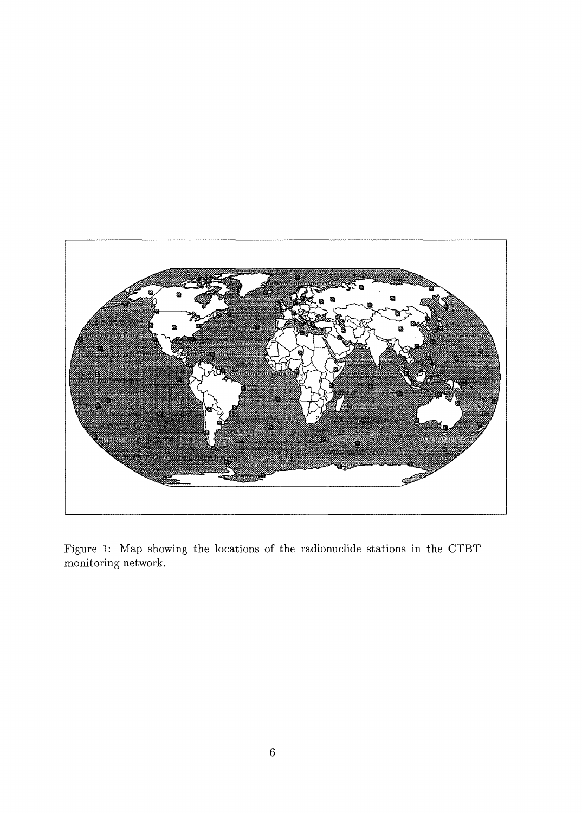

Figure 1: Map showing the locations of the radionuclide stations in the CTBT monitoring network.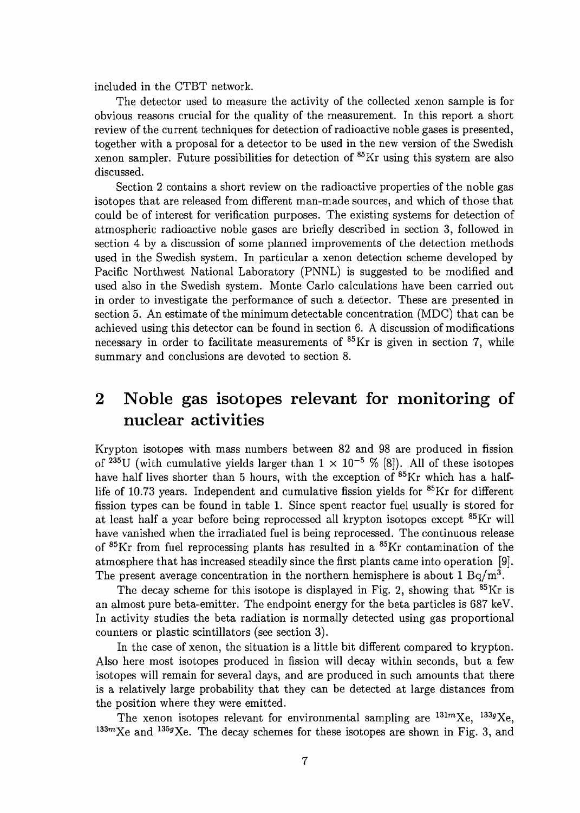included in the CTBT network.

The detector used to measure the activity of the collected xenon sample is for obvious reasons crucial for the quality of the measurement. In this report a short review of the current techniques for detection of radioactive noble gases is presented, together with a proposal for a detector to be used in the new version of the Swedish xenon sampler. Future possibilities for detection of <sup>85</sup>Kr using this system are also discussed.

Section 2 contains a short review on the radioactive properties of the noble gas isotopes that are released from different man-made sources, and which of those that could be of interest for verification purposes. The existing systems for detection of atmospheric radioactive noble gases are briefly described in section 3, followed in section 4 by a discussion of some planned improvements of the detection methods used in the Swedish system. In particular a xenon detection scheme developed by Pacific Northwest National Laboratory (PNNL) is suggested to be modified and used also in the Swedish system. Monte Carlo calculations have been carried out in order to investigate the performance of such a detector. These are presented in section 5. An estimate of the minimum detectable concentration (MDC) that can be achieved using this detector can be found in section 6. A discussion of modifications necessary in order to facilitate measurements of <sup>85</sup>Kr is given in section 7, while summary and conclusions are devoted to section 8.

### 2 Noble gas isotopes relevant for monitoring of nuclear activities

Krypton isotopes with mass numbers between 82 and 98 are produced in fission of <sup>235</sup>U (with cumulative yields larger than  $1 \times 10^{-5}$  % [8]). All of these isotopes have half lives shorter than 5 hours, with the exception of <sup>85</sup>Kr which has a halflife of 10.73 years. Independent and cumulative fission yields for <sup>85</sup>Kr for different fission types can be found in table 1. Since spent reactor fuel usually is stored for at least half a year before being reprocessed all krypton isotopes except <sup>85</sup>Kr will have vanished when the irradiated fuel is being reprocessed. The continuous release of <sup>85</sup>Kr from fuel reprocessing plants has resulted in a <sup>85</sup>Kr contamination of the atmosphere that has increased steadily since the first plants came into operation [9]. The present average concentration in the northern hemisphere is about  $1 \text{ Bq/m}^3$ .

The decay scheme for this isotope is displayed in Fig. 2, showing that <sup>85</sup>Kr is an almost pure beta-emitter. The endpoint energy for the beta particles is 687 keV. In activity studies the beta radiation is normally detected using gas proportional counters or plastic scintillators (see section 3).

In the case of xenon, the situation is a little bit different compared to krypton. Also here most isotopes produced in fission will decay within seconds, but a few isotopes will remain for several days, and are produced in such amounts that there is a relatively large probability that they can be detected at large distances from the position where they were emitted.

The xenon isotopes relevant for environmental sampling are  $131mXe$ ,  $133gXe$  $133mXe$  and  $135gXe$ . The decay schemes for these isotopes are shown in Fig. 3, and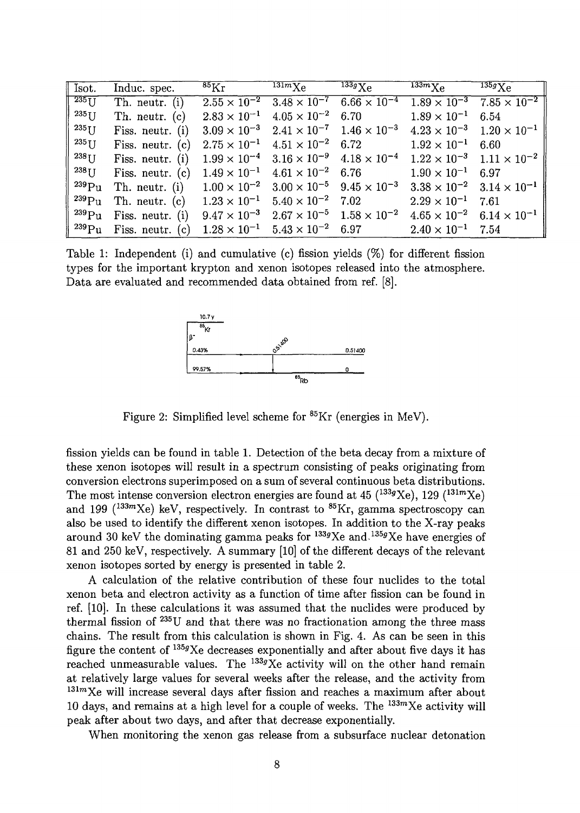| $\sqrt{\ }$ Isot.           | Induc. spec.       | $^{85}\rm{Kr}$                                                    | $\overline{^{131m}}\chi_{\rm C}$                                  | $^{133g}\mathrm{Xe}$                                              | $^{133m}\mathrm{Xe}$                        | $^{135g}\mathrm{Xe}$                        |
|-----------------------------|--------------------|-------------------------------------------------------------------|-------------------------------------------------------------------|-------------------------------------------------------------------|---------------------------------------------|---------------------------------------------|
| $\sqrt{235}$ U              | Th. neutr. (i)     |                                                                   | $2.55 \times 10^{-2}$ $3.48 \times 10^{-7}$                       | $6.66 \times 10^{-4}$                                             |                                             | $1.89 \times 10^{-3}$ $7.85 \times 10^{-2}$ |
| $235$ [J                    | Th. neutr. (c)     |                                                                   | $2.83 \times 10^{-1}$ $4.05 \times 10^{-2}$ 6.70                  |                                                                   | $1.89 \times 10^{-1}$                       | 6.54                                        |
| $235$ U                     | Fiss. neutr. $(i)$ |                                                                   |                                                                   | $3.09 \times 10^{-3}$ $2.41 \times 10^{-7}$ $1.46 \times 10^{-3}$ | $4.23 \times 10^{-3}$ $1.20 \times 10^{-1}$ |                                             |
| $235$ U                     | Fiss. neutr. $(c)$ |                                                                   | $2.75 \times 10^{-1}$ $4.51 \times 10^{-2}$ 6.72                  |                                                                   | $1.92 \times 10^{-1}$                       | 6.60                                        |
| $238$ U                     | Fiss. neutr. (i)   |                                                                   | $1.99 \times 10^{-4}$ $3.16 \times 10^{-9}$ $4.18 \times 10^{-4}$ |                                                                   | $1.22 \times 10^{-3}$ $1.11 \times 10^{-2}$ |                                             |
| $238$ U                     | Fiss. neutr. (c)   |                                                                   | $1.49 \times 10^{-1}$ $4.61 \times 10^{-2}$                       | 6.76                                                              | $1.90 \times 10^{-1}$ 6.97                  |                                             |
| $^{239}\rm{Pu}$             | Th. neutr. (i)     | $1.00 \times 10^{-2}$ $3.00 \times 10^{-5}$ $9.45 \times 10^{-3}$ |                                                                   |                                                                   | $3.38 \times 10^{-2}$ $3.14 \times 10^{-1}$ |                                             |
| $^{239}\mathrm{Pu}$         | Th. neutr. (c)     |                                                                   | $1.23 \times 10^{-1}$ $5.40 \times 10^{-2}$ 7.02                  |                                                                   | $2.29 \times 10^{-1}$ 7.61                  |                                             |
| $^{1239}\rm{Pu}$            | Fiss. neutr. (i)   |                                                                   | $9.47 \times 10^{-3}$ $2.67 \times 10^{-5}$ $1.58 \times 10^{-2}$ |                                                                   | $4.65 \times 10^{-2}$ $6.14 \times 10^{-1}$ |                                             |
| $\cdot$ $^{239}\mathrm{Pu}$ | Fiss. neutr. (c)   |                                                                   | $1.28 \times 10^{-1}$ $5.43 \times 10^{-2}$ 6.97                  |                                                                   | $2.40 \times 10^{-1}$ 7.54                  |                                             |

Table 1: Independent (i) and cumulative (c) fission yields (%) for different fission types for the important krypton and xenon isotopes released into the atmosphere. Data are evaluated and recommended data obtained from ref. [8].



Figure 2: Simplified level scheme for <sup>85</sup>Kr (energies in MeV).

fission yields can be found in table 1. Detection of the beta decay from a mixture of these xenon isotopes will result in a spectrum consisting of peaks originating from conversion electrons superimposed on a sum of several continuous beta distributions. The most intense conversion electron energies are found at 45  $(^{133}g$ Xe), 129  $(^{131}m$ Xe) and 199 ( $133m$ Xe) keV, respectively. In contrast to  $85Kr$ , gamma spectroscopy can also be used to identify the different xenon isotopes. In addition to the X-ray peaks around 30 keV the dominating gamma peaks for  $^{133g}Xe$  and  $^{135g}Xe$  have energies of 81 and 250 keV, respectively. A summary [10] of the different decays of the relevant xenon isotopes sorted by energy is presented in table 2.

A calculation of the relative contribution of these four nuclides to the total xenon beta and electron activity as a function of time after fission can be found in ref. [10]. In these calculations it was assumed that the nuclides were produced by thermal fission of <sup>235</sup>U and that there was no fractionation among the three mass chains. The result from this calculation is shown in Fig. 4. As can be seen in this figure the content of  $^{135g}\text{Xe}$  decreases exponentially and after about five days it has reached unmeasurable values. The  $^{133g}Xe$  activity will on the other hand remain at relatively large values for several weeks after the release, and the activity from  $131mXe$  will increase several days after fission and reaches a maximum after about  $10 \text{ days, and remains at a high level for a couple of weeks. The }^{133m}\text{Xe activity will}$ peak after about two days, and after that decrease exponentially.

When monitoring the xenon gas release from a subsurface nuclear detonation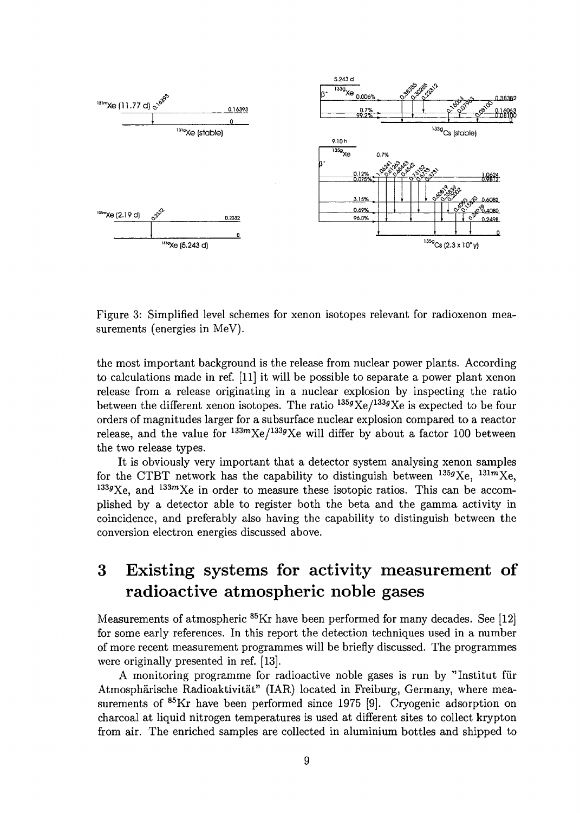

Figure 3: Simplified level schemes for xenon isotopes relevant for radioxenon measurements (energies in MeV).

the most important background is the release from nuclear power plants. According to calculations made in ref. [11] it will be possible to separate a power plant xenon release from a release originating in a nuclear explosion by inspecting the ratio between the different xenon isotopes. The ratio  $^{135g}$ Xe/ $^{133g}$ Xe is expected to be four orders of magnitudes larger for a subsurface nuclear explosion compared to a reactor release, and the value for  $133m$ Xe/ $133g$ Xe will differ by about a factor 100 between the two release types.

It is obviously very important that a detector system analysing xenon samples for the CTBT network has the capability to distinguish between  $^{135g}Xe$ ,  $^{131m}Xe$  $133g$ <sub>Xe</sub>, and  $133m$ <sub>Xe</sub> in order to measure these isotopic ratios. This can be accomplished by a detector able to register both the beta and the gamma activity in coincidence, and preferably also having the capability to distinguish between the conversion electron energies discussed above.

## 3 Existing systems for activity measurement of radioactive atmospheric noble gases

Measurements of atmospheric <sup>85</sup>Kr have been performed for many decades. See [12] for some early references. In this report the detection techniques used in a number of more recent measurement programmes will be briefly discussed. The programmes were originally presented in ref. [13].

A monitoring programme for radioactive noble gases is run by "Institut fur Atmosphärische Radioaktivität" (IAR) located in Freiburg, Germany, where measurements of <sup>85</sup>Kr have been performed since 1975 [9]. Cryogenic adsorption on charcoal at liquid nitrogen temperatures is used at different sites to collect krypton from air. The enriched samples are collected in aluminium bottles and shipped to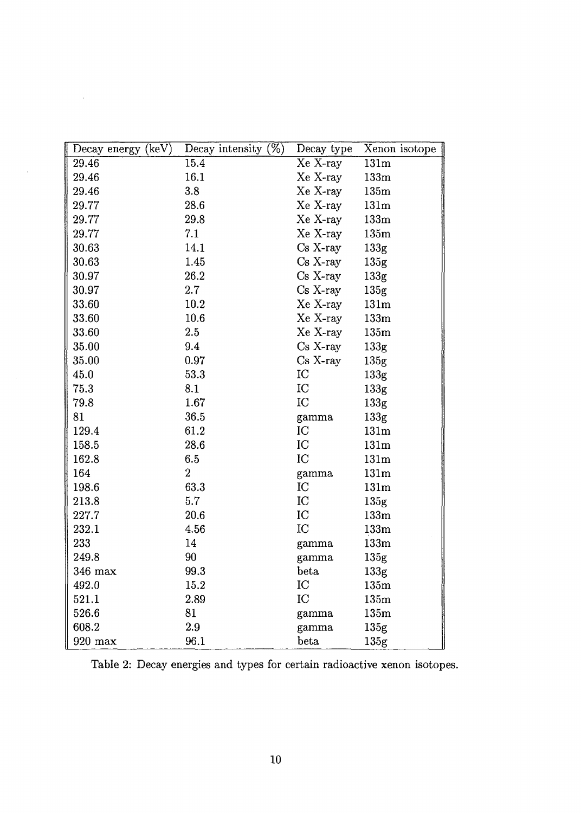| Decay energy (keV) | Decay intensity $(\%)$ | Decay type | Xenon isotope    |
|--------------------|------------------------|------------|------------------|
| 29.46              | 15.4                   | Xe X-ray   | 131m             |
| 29.46              | 16.1                   | Xe X-ray   | 133m             |
| 29.46              | 3.8                    | Xe X-ray   | 135m             |
| 29.77              | 28.6                   | Xe X-ray   | 131m             |
| 29.77              | 29.8                   | Xe X-ray   | 133m             |
| 29.77              | 7.1                    | Xe X-ray   | 135m             |
| 30.63              | 14.1                   | $Cs$ X-ray | 133 <sub>g</sub> |
| 30.63              | 1.45                   | Cs X-ray   | 135 <sub>g</sub> |
| 30.97              | 26.2                   | $Cs$ X-ray | 133 <sub>g</sub> |
| 30.97              | 2.7                    | $Cs$ X-ray | 135 <sub>g</sub> |
| 33.60              | 10.2                   | Xe X-ray   | 131 <sub>m</sub> |
| 33.60              | 10.6                   | Xe X-ray   | 133m             |
| 33.60              | 2.5                    | Xe X-ray   | 135m             |
| 35.00              | 9.4                    | $Cs$ X-ray | 133g             |
| 35.00              | 0.97                   | $Cs$ X-ray | 135 <sub>g</sub> |
| 45.0               | 53.3                   | IC         | 133 <sub>g</sub> |
| 75.3               | 8.1                    | IC         | 133g             |
| 79.8               | 1.67                   | IC         | 133g             |
| 81                 | 36.5                   | gamma      | 133g             |
| 129.4              | 61.2                   | IC         | 131m             |
| 158.5              | 28.6                   | IC         | 131m             |
| 162.8              | 6.5                    | IC         | 131m             |
| 164                | $\overline{2}$         | gamma      | 131m             |
| 198.6              | 63.3                   | IC         | 131m             |
| 213.8              | 5.7                    | IC         | 135 <sub>g</sub> |
| 227.7              | 20.6                   | IC         | 133m             |
| 232.1              | 4.56                   | IC         | 133m             |
| 233                | 14                     | gamma      | 133m             |
| 249.8              | 90                     | gamma      | 135 <sub>g</sub> |
| 346 max            | 99.3                   | beta       | 133 <sub>g</sub> |
| 492.0              | 15.2                   | IC         | 135m             |
| 521.1              | 2.89                   | IC         | 135m             |
| 526.6              | 81                     | gamma      | $135\mathrm{m}$  |
| 608.2              | 2.9                    | gamma      | 135 <sub>g</sub> |
| 920 max            | 96.1                   | beta       | 135 <sub>g</sub> |

 $\Delta \sim 1$ 

 $\sim$ 

Table 2: Decay energies and types for certain radioactive xenon isotopes.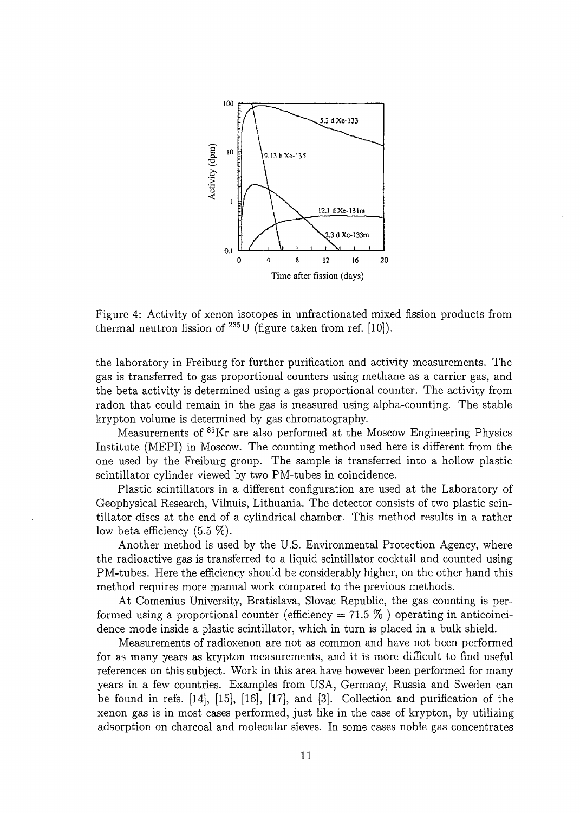

Figure 4: Activity of xenon isotopes in unfractionated mixed fission products from thermal neutron fission of  $^{235}$ U (figure taken from ref. [10]).

the laboratory in Freiburg for further purification and activity measurements. The gas is transferred to gas proportional counters using methane as a carrier gas, and the beta activity is determined using a gas proportional counter. The activity from radon that could remain in the gas is measured using alpha-counting. The stable krypton volume is determined by gas chromatography.

Measurements of <sup>85</sup>Kr are also performed at the Moscow Engineering Physics Institute (MEPI) in Moscow. The counting method used here is different from the one used by the Freiburg group. The sample is transferred into a hollow plastic scintillator cylinder viewed by two PM-tubes in coincidence.

Plastic scintillators in a different configuration are used at the Laboratory of Geophysical Research, Vilnuis, Lithuania. The detector consists of two plastic scintillator discs at the end of a cylindrical chamber. This method results in a rather low beta efficiency (5.5 *%).*

Another method is used by the U.S. Environmental Protection Agency, where the radioactive gas is transferred to a liquid scintillator cocktail and counted using PM-tubes. Here the efficiency should be considerably higher, on the other hand this method requires more manual work compared to the previous methods.

At Comenius University, Bratislava, Slovac Republic, the gas counting is performed using a proportional counter (efficiency  $= 71.5 \%$ ) operating in anticoincidence mode inside a plastic scintillator, which in turn is placed in a bulk shield.

Measurements of radioxenon are not as common and have not been performed for as many years as krypton measurements, and it is more difficult to find useful references on this subject. Work in this area have however been performed for many years in a few countries. Examples from USA, Germany, Russia and Sweden can be found in refs. [14], [15], [16], [17], and [3]. Collection and purification of the xenon gas is in most cases performed, just like in the case of krypton, by utilizing adsorption on charcoal and molecular sieves. In some cases noble gas concentrates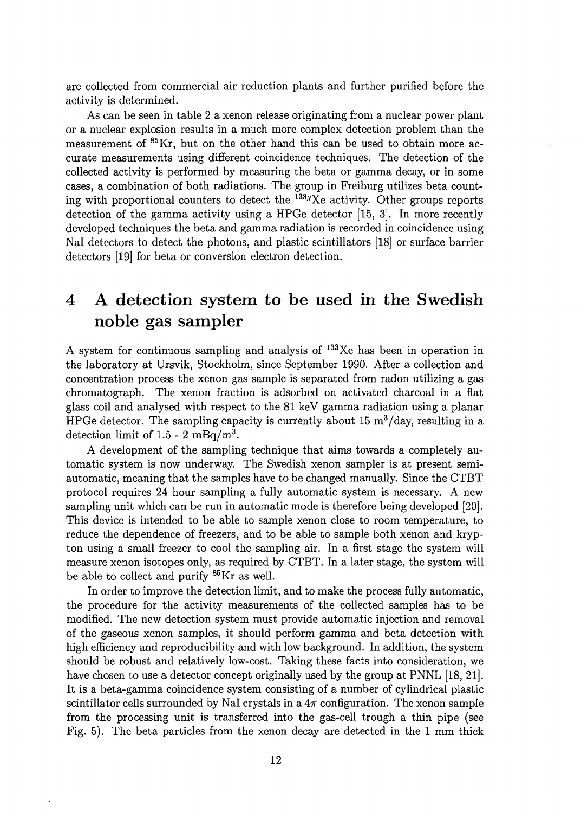are collected from commercial air reduction plants and further purified before the activity is determined.

As can be seen in table 2 a xenon release originating from a nuclear power plant or a nuclear explosion results in a much more complex detection problem than the measurement of <sup>85</sup>Kr, but on the other hand this can be used to obtain more accurate measurements using different coincidence techniques. The detection of the collected activity is performed by measuring the beta or gamma decay, or in some cases, a combination of both radiations. The group in Freiburg utilizes beta counting with proportional counters to detect the  $^{133}g$ Xe activity. Other groups reports detection of the gamma activity using a HPGe detector [15, 3]. In more recently developed techniques the beta and gamma radiation is recorded in coincidence using Nal detectors to detect the photons, and plastic scintillators [18] or surface barrier detectors [19] for beta or conversion electron detection.

## 4 A detection system to be used in the Swedish noble gas sampler

A system for continuous sampling and analysis of <sup>133</sup>Xe has been in operation in the laboratory at Ursvik, Stockholm, since September 1990. After a collection and concentration process the xenon gas sample is separated from radon utilizing a gas chromatograph. The xenon fraction is adsorbed on activated charcoal in a flat glass coil and analysed with respect to the 81 keV gamma radiation using a planar HPGe detector. The sampling capacity is currently about 15  $m^3/d$ ay, resulting in a detection limit of 1.5 - 2 mBq/m<sup>3</sup>.

A development of the sampling technique that aims towards a completely automatic system is now underway. The Swedish xenon sampler is at present semiautomatic, meaning that the samples have to be changed manually. Since the CTBT protocol requires 24 hour sampling a fully automatic system is necessary. A new sampling unit which can be run in automatic mode is therefore being developed [20]. This device is intended to be able to sample xenon close to room temperature, to reduce the dependence of freezers, and to be able to sample both xenon and krypton using a small freezer to cool the sampling air. In a first stage the system will measure xenon isotopes only, as required by CTBT. In a later stage, the system will be able to collect and purify <sup>85</sup>Kr as well.

In order to improve the detection limit, and to make the process fully automatic, the procedure for the activity measurements of the collected samples has to be modified. The new detection system must provide automatic injection and removal of the gaseous xenon samples, it should perform gamma and beta detection with high efficiency and reproducibility and with low background. In addition, the system should be robust and relatively low-cost. Taking these facts into consideration, we have chosen to use a detector concept originally used by the group at PNNL [18, 21]. It is a beta-gamma coincidence system consisting of a number of cylindrical plastic scintillator cells surrounded by NaI crystals in a  $4\pi$  configuration. The xenon sample from the processing unit is transferred into the gas-cell trough a thin pipe (see Fig. 5). The beta particles from the xenon decay are detected in the 1 mm thick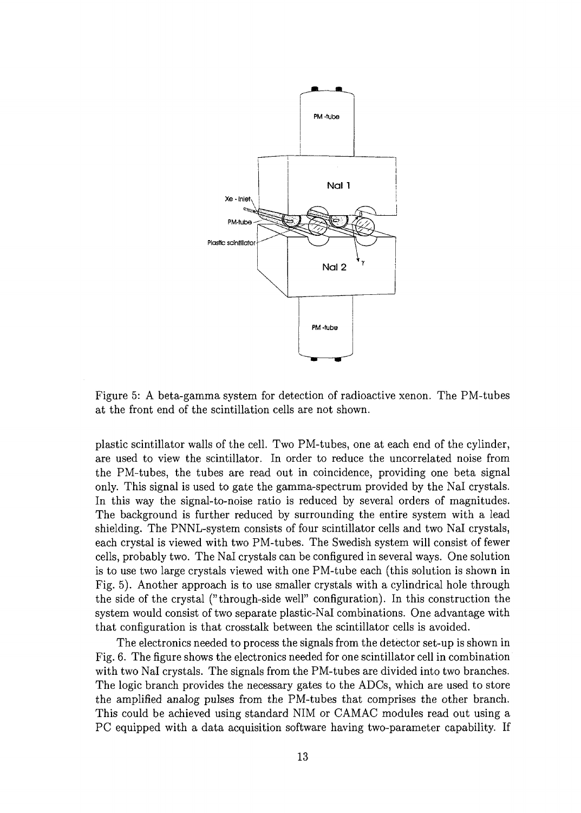

Figure 5: A beta-gamma system for detection of radioactive xenon. The PM-tubes at the front end of the scintillation cells are not shown.

plastic scintillator walls of the cell. Two PM-tubes, one at each end of the cylinder, are used to view the scintillator. In order to reduce the uncorrelated noise from the PM-tubes, the tubes are read out in coincidence, providing one beta signal only. This signal is used to gate the gamma-spectrum provided by the Nal crystals. In this way the signal-to-noise ratio is reduced by several orders of magnitudes. The background is further reduced by surrounding the entire system with a lead shielding. The PNNL-system consists of four scintillator cells and two Nal crystals, each crystal is viewed with two PM-tubes. The Swedish system will consist of fewer cells, probably two. The Nal crystals can be configured in several ways. One solution is to use two large crystals viewed with one PM-tube each (this solution is shown in Fig. 5). Another approach is to use smaller crystals with a cylindrical hole through the side of the crystal ("through-side well" configuration). In this construction the system would consist of two separate plastic-Nal combinations. One advantage with that configuration is that crosstalk between the scintillator cells is avoided.

The electronics needed to process the signals from the detector set-up is shown in Fig. 6. The figure shows the electronics needed for one scintillator cell in combination with two Nal crystals. The signals from the PM-tubes are divided into two branches. The logic branch provides the necessary gates to the ADCs, which are used to store the amplified analog pulses from the PM-tubes that comprises the other branch. This could be achieved using standard NIM or CAMAC modules read out using a PC equipped with a data acquisition software having two-parameter capability. If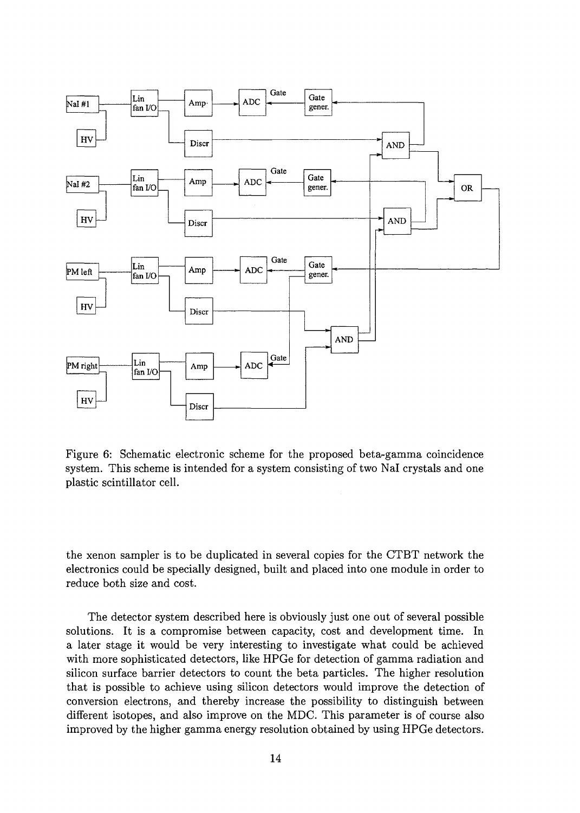

Figure 6: Schematic electronic scheme for the proposed beta-gamma coincidence system. This scheme is intended for a system consisting of two Nal crystals and one plastic scintillator cell.

the xenon sampler is to be duplicated in several copies for the CTBT network the electronics could be specially designed, built and placed into one module in order to reduce both size and cost.

The detector system described here is obviously just one out of several possible solutions. It is a compromise between capacity, cost and development time. In a later stage it would be very interesting to investigate what could be achieved with more sophisticated detectors, like HPGe for detection of gamma radiation and silicon surface barrier detectors to count the beta particles. The higher resolution that is possible to achieve using silicon detectors would improve the detection of conversion electrons, and thereby increase the possibility to distinguish between different isotopes, and also improve on the MDC. This parameter is of course also improved by the higher gamma energy resolution obtained by using HPGe detectors.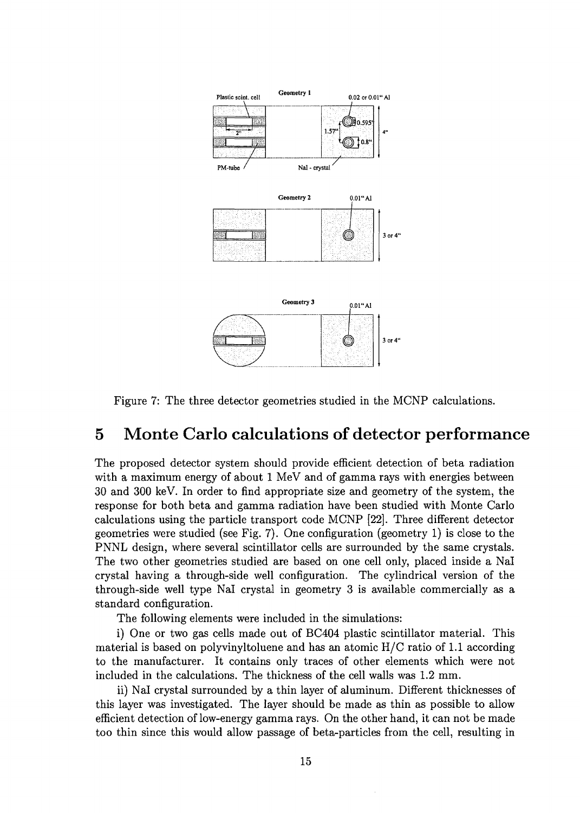

Figure 7: The three detector geometries studied in the MCNP calculations.

### 5 Monte Carlo calculations of detector performance

The proposed detector system should provide efficient detection of beta radiation with a maximum energy of about 1 MeV and of gamma rays with energies between 30 and 300 keV. In order to find appropriate size and geometry of the system, the response for both beta and gamma radiation have been studied with Monte Carlo calculations using the particle transport code MCNP [22]. Three different detector geometries were studied (see Fig. 7). One configuration (geometry 1) is close to the PNNL design, where several scintillator cells are surrounded by the same crystals. The two other geometries studied are based on one cell only, placed inside a Nal crystal having a through-side well configuration. The cylindrical version of the through-side well type Nal crystal in geometry 3 is available commercially as a standard configuration.

The following elements were included in the simulations:

i) One or two gas cells made out of BC404 plastic scintillator material. This material is based on polyvinyltoluene and has an atomic  $H/C$  ratio of 1.1 according to the manufacturer. It contains only traces of other elements which were not included in the calculations. The thickness of the cell walls was 1.2 mm.

ii) Nal crystal surrounded by a thin layer of aluminum. Different thicknesses of this layer was investigated. The layer should be made as thin as possible to allow efficient detection of low-energy gamma rays. On the other hand, it can not be made too thin since this would allow passage of beta-particles from the cell, resulting in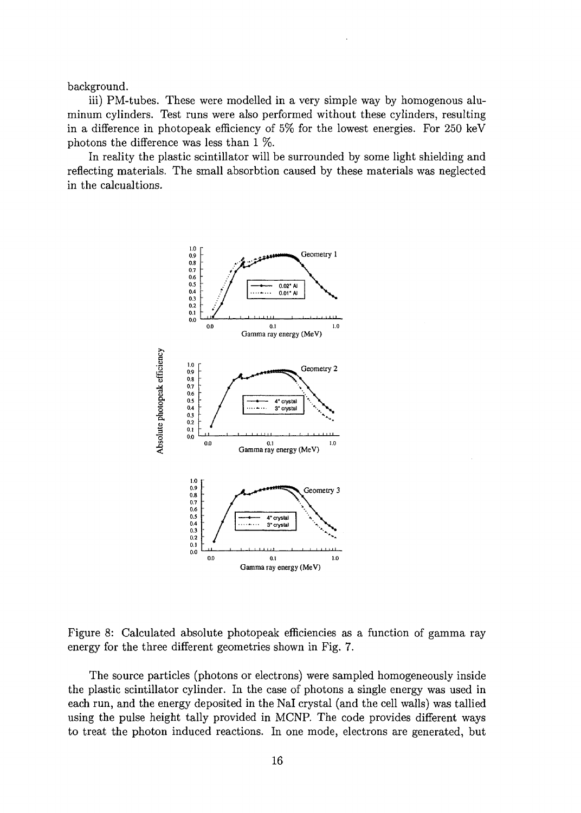background.

iii) PM-tubes. These were modelled in a very simple way by homogenous aluminum cylinders. Test runs were also performed without these cylinders, resulting in a difference in photopeak efficiency of 5% for the lowest energies. For 250 keV photons the difference was less than 1 *%.*

In reality the plastic scintillator will be surrounded by some light shielding and reflecting materials. The small absorbtion caused by these materials was neglected in the calcualtions.



Figure 8: Calculated absolute photopeak efficiencies as a function of gamma ray energy for the three different geometries shown in Fig. 7.

The source particles (photons or electrons) were sampled homogeneously inside the plastic scintillator cylinder. In the case of photons a single energy was used in each run, and the energy deposited in the Nal crystal (and the cell walls) was tallied using the pulse height tally provided in MCNP. The code provides different ways to treat the photon induced reactions. In one mode, electrons are generated, but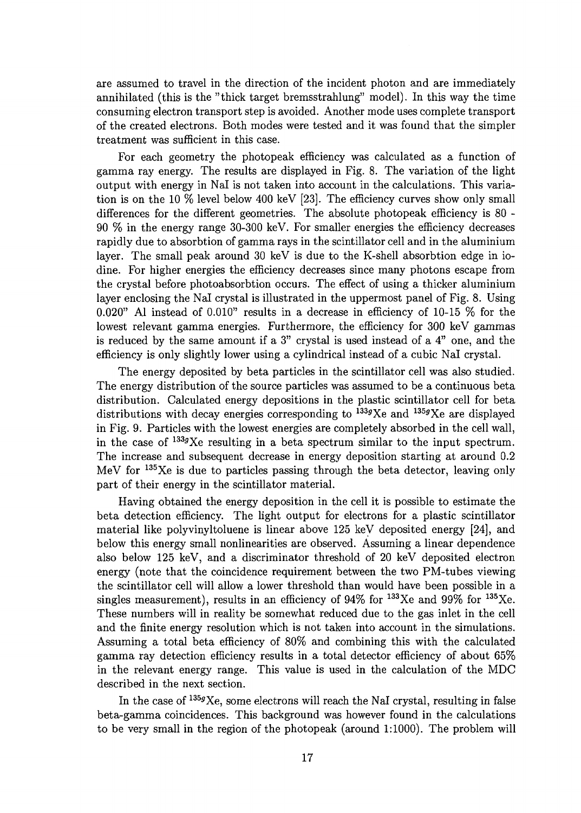are assumed to travel in the direction of the incident photon and are immediately annihilated (this is the "thick target bremsstrahlung" model). In this way the time consuming electron transport step is avoided. Another mode uses complete transport of the created electrons. Both modes were tested and it was found that the simpler treatment was sufficient in this case.

For each geometry the photopeak efficiency was calculated as a function of gamma ray energy. The results are displayed in Fig. 8. The variation of the light output with energy in Nal is not taken into account in the calculations. This variation is on the 10 % level below 400 keV [23]. The efficiency curves show only small differences for the different geometries. The absolute photopeak efficiency is 80 - 90 % in the energy range 30-300 keV. For smaller energies the efficiency decreases rapidly due to absorbtion of gamma rays in the scintillator cell and in the aluminium layer. The small peak around 30 keV is due to the K-shell absorbtion edge in iodine. For higher energies the efficiency decreases since many photons escape from the crystal before photoabsorbtion occurs. The effect of using a thicker aluminium layer enclosing the Nal crystal is illustrated in the uppermost panel of Fig. 8. Using 0.020" Al instead of 0.010" results in a decrease in efficiency of 10-15 % for the lowest relevant gamma energies. Furthermore, the efficiency for 300 keV gammas is reduced by the same amount if a 3" crystal is used instead of a 4" one, and the efficiency is only slightly lower using a cylindrical instead of a cubic Nal crystal.

The energy deposited by beta particles in the scintillator cell was also studied. The energy distribution of the source particles was assumed to be a continuous beta distribution. Calculated energy depositions in the plastic scintillator cell for beta distributions with decay energies corresponding to  $^{133g}Xe$  and  $^{135g}Xe$  are displayed in Fig. 9. Particles with the lowest energies are completely absorbed in the cell wall, in the case of  $^{133g}Xe$  resulting in a beta spectrum similar to the input spectrum. The increase and subsequent decrease in energy deposition starting at around 0.2 MeV for <sup>135</sup>Xe is due to particles passing through the beta detector, leaving only part of their energy in the scintillator material.

Having obtained the energy deposition in the cell it is possible to estimate the beta detection efficiency. The light output for electrons for a plastic scintillator material like polyvinyltoluene is linear above 125 keV deposited energy [24], and below this energy small nonlinearities are observed. Assuming a linear dependence also below 125 keV, and a discriminator threshold of 20 keV deposited electron energy (note that the coincidence requirement between the two PM-tubes viewing the scintillator cell will allow a lower threshold than would have been possible in a singles measurement), results in an efficiency of 94% for  $133$ Xe and 99% for  $135$ Xe These numbers will in reality be somewhat reduced due to the gas inlet in the cell and the finite energy resolution which is not taken into account in the simulations. Assuming a total beta efficiency of 80% and combining this with the calculated gamma ray detection efficiency results in a total detector efficiency of about 65% in the relevant energy range. This value is used in the calculation of the MDC described in the next section.

In the case of  $^{135g}\text{Xe}$ , some electrons will reach the NaI crystal, resulting in false beta-gamma coincidences. This background was however found in the calculations to be very small in the region of the photopeak (around 1:1000). The problem will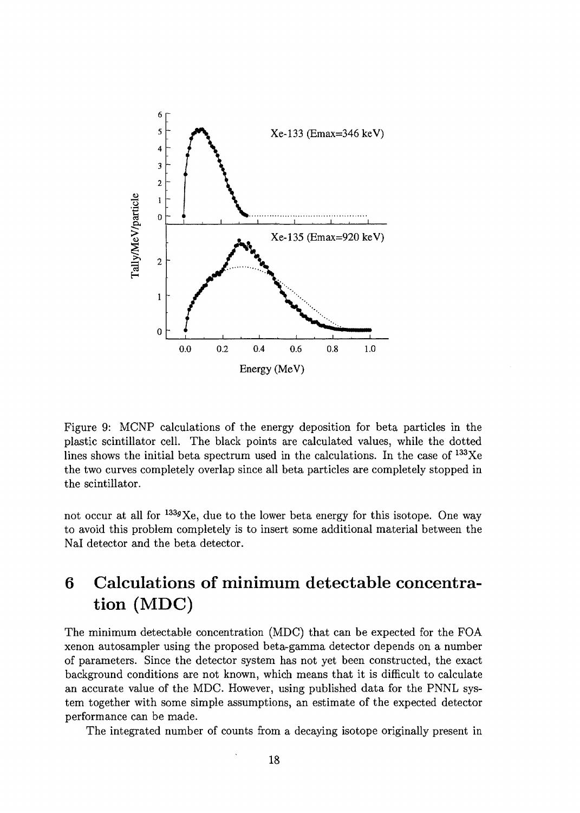

Figure 9: MCNP calculations of the energy deposition for beta particles in the plastic scintillator cell. The black points are calculated values, while the dotted lines shows the initial beta spectrum used in the calculations. In the case of <sup>133</sup>Xe the two curves completely overlap since all beta particles are completely stopped in the scintillator.

not occur at all for <sup>133g</sup>Xe, due to the lower beta energy for this isotope. One way to avoid this problem completely is to insert some additional material between the Nal detector and the beta detector.

## 6 Calculations of minimum detectable concentration (MDC)

The minimum detectable concentration (MDC) that can be expected for the FOA xenon autosampler using the proposed beta-gamma detector depends on a number of parameters. Since the detector system has not yet been constructed, the exact background conditions are not known, which means that it is difficult to calculate an accurate value of the MDC. However, using published data for the PNNL system together with some simple assumptions, an estimate of the expected detector performance can be made.

The integrated number of counts from a decaying isotope originally present in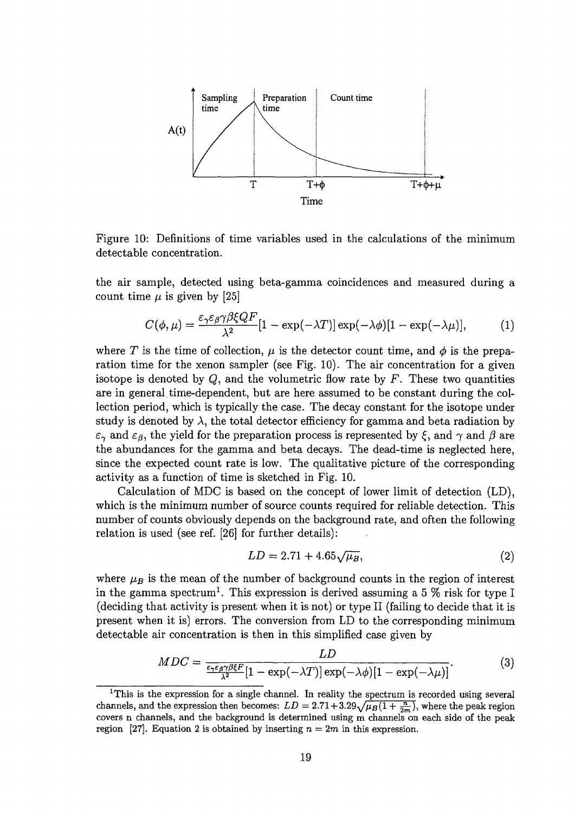

Figure 10: Definitions of time variables used in the calculations of the minimum detectable concentration.

the air sample, detected using beta-gamma coincidences and measured during a count time  $\mu$  is given by [25]

$$
C(\phi,\mu) = \frac{\varepsilon_{\gamma}\varepsilon_{\beta}\gamma\beta\xi QF}{\lambda^2} [1 - \exp(-\lambda T)] \exp(-\lambda\phi)[1 - \exp(-\lambda\mu)],\tag{1}
$$

where T is the time of collection,  $\mu$  is the detector count time, and  $\phi$  is the preparation time for the xenon sampler (see Fig. 10). The air concentration for a given isotope is denoted by *Q,* and the volumetric flow rate by *F.* These two quantities are in general time-dependent, but are here assumed to be constant during the collection period, which is typically the case. The decay constant for the isotope under study is denoted by  $\lambda$ , the total detector efficiency for gamma and beta radiation by  $\varepsilon_{\gamma}$  and  $\varepsilon_{\beta}$ , the yield for the preparation process is represented by  $\xi$ , and  $\gamma$  and  $\beta$  are the abundances for the gamma and beta decays. The dead-time is neglected here, since the expected count rate is low. The qualitative picture of the corresponding activity as a function of time is sketched in Fig. 10.

Calculation of MDC is based on the concept of lower limit of detection (LD), which is the minimum number of source counts required for reliable detection. This number of counts obviously depends on the background rate, and often the following relation is used (see ref. [26] for further details):

$$
LD = 2.71 + 4.65\sqrt{\mu_B},\tag{2}
$$

where  $\mu_B$  is the mean of the number of background counts in the region of interest in the gamma spectrum<sup>1</sup>. This expression is derived assuming a 5  $\%$  risk for type I (deciding that activity is present when it is not) or type II (failing to decide that it is present when it is) errors. The conversion from LD to the corresponding minimum detectable air concentration is then in this simplified case given by

$$
MDC = \frac{LD}{\frac{\epsilon_2 \epsilon_3 \gamma \beta \xi F}{\lambda^2} [1 - \exp(-\lambda T)] \exp(-\lambda \phi) [1 - \exp(-\lambda \mu)]}.
$$
(3)

<sup>&</sup>lt;sup>1</sup>This is the expression for a single channel. In reality the spectrum is recorded using several channels, and the expression then becomes:  $LD = 2.71 + 3.29\sqrt{\mu_B(1 + \frac{n}{2m})}$ , where the peak region covers n channels, and the background is determined using m channels on each side of the peak region [27]. Equation 2 is obtained by inserting  $n = 2m$  in this expression.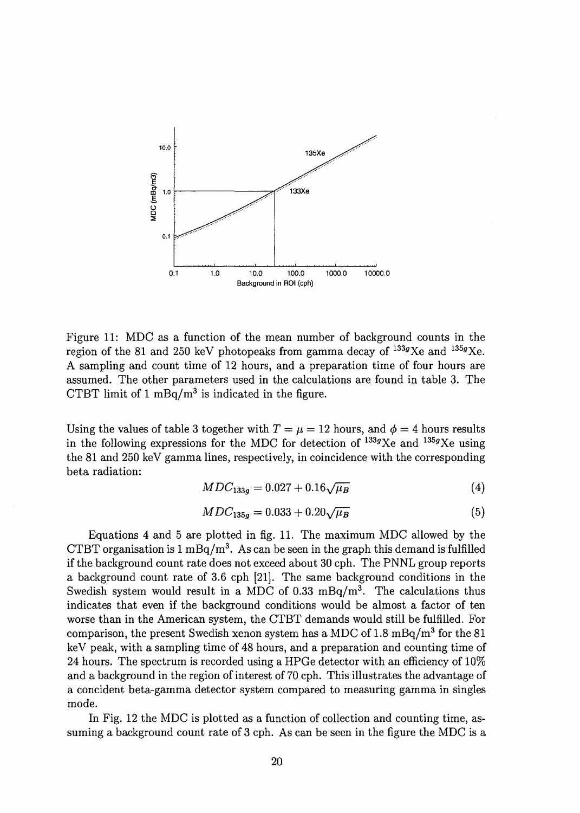

Figure 11: MDC as a function of the mean number of background counts in the region of the 81 and 250 keV photopeaks from gamma decay of  $^{133g}$ Xe and  $^{135g}$ Xe A sampling and count time of 12 hours, and a preparation time of four hours are assumed. The other parameters used in the calculations are found in table 3. The CTBT limit of  $1 \text{ mBq/m}^3$  is indicated in the figure.

Using the values of table 3 together with  $T = \mu = 12$  hours, and  $\phi = 4$  hours results in the following expressions for the MDC for detection of  $^{133g}Xe$  and  $^{135g}Xe$  using the 81 and 250 keV gamma lines, respectively, in coincidence with the corresponding beta radiation:

$$
MDC_{133g} = 0.027 + 0.16\sqrt{\mu_B} \tag{4}
$$

$$
MDC_{135g} = 0.033 + 0.20\sqrt{\mu_B} \tag{5}
$$

Equations 4 and 5 are plotted in fig. 11. The maximum MDC allowed by the CTBT organisation is 1 mBq/m<sup>3</sup>. As can be seen in the graph this demand is fulfilled if the background count rate does not exceed about 30 cph. The PNNL group reports a background count rate of 3.6 cph [21]. The same background conditions in the Swedish system would result in a MDC of 0.33 mBq/m<sup>3</sup>. The calculations thus indicates that even if the background conditions would be almost a factor of ten worse than in the American system, the CTBT demands would still be fulfilled. For comparison, the present Swedish xenon system has a MDC of 1.8 mBq/m<sup>3</sup> for the 81 keV peak, with a sampling time of 48 hours, and a preparation and counting time of 24 hours. The spectrum is recorded using a HPGe detector with an efficiency of 10% and a background in the region of interest of 70 cph. This illustrates the advantage of a concident beta-gamma detector system compared to measuring gamma in singles mode.

In Fig. 12 the MDC is plotted as a function of collection and counting time, assuming a background count rate of 3 cph. As can be seen in the figure the MDC is a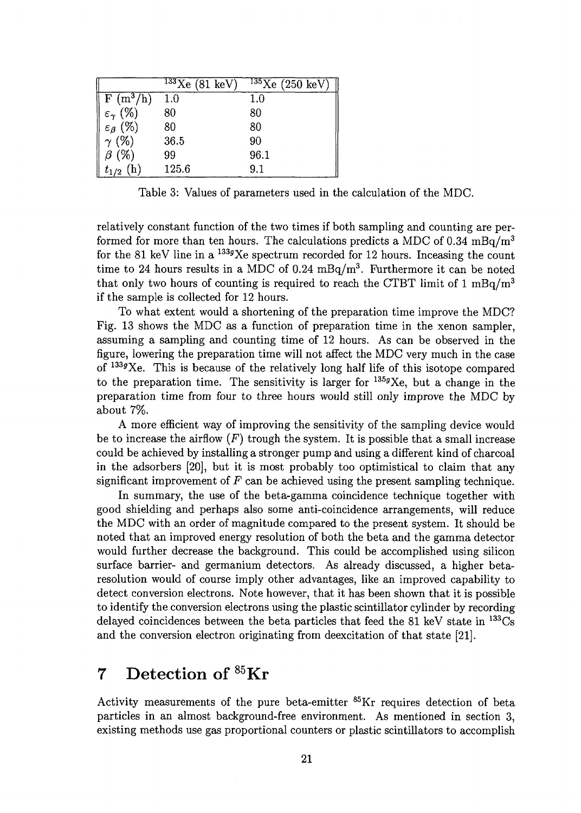|                                  | $133\text{Xe}$ (81 keV) | $135$ Xe (250 keV) |
|----------------------------------|-------------------------|--------------------|
| $\overline{F(m^3/h)}$            | 1.0                     | 1.0                |
| $(\%)$<br>$\varepsilon_{\gamma}$ | 80                      | 80                 |
| $\varepsilon_{\beta}$ (%)        | 80                      | 80                 |
| $\gamma$ (%)                     | 36.5                    | 90                 |
| $\beta$ (%)                      | 99                      | 96.1               |
| $t_{1/2}$                        | 125.6                   | 9.1                |

Table 3: Values of parameters used in the calculation of the MDC.

relatively constant function of the two times if both sampling and counting are performed for more than ten hours. The calculations predicts a MDC of  $0.34 \text{ mBa/m}^3$ for the 81 keV line in a  $^{133g}$ Xe spectrum recorded for 12 hours. Inceasing the count time to 24 hours results in a MDC of 0.24  $mBq/m^3$ . Furthermore it can be noted that only two hours of counting is required to reach the CTBT limit of 1 mBq/m<sup>3</sup> if the sample is collected for 12 hours.

To what extent would a shortening of the preparation time improve the MDC? Fig. 13 shows the MDC as a function of preparation time in the xenon sampler, assuming a sampling and counting time of 12 hours. As can be observed in the figure, lowering the preparation time will not affect the MDC very much in the case of <sup>1339</sup>Xe. This is because of the relatively long half life of this isotope compared to the preparation time. The sensitivity is larger for  $1359Xe$ , but a change in the preparation time from four to three hours would still only improve the MDC by about 7%.

A more efficient way of improving the sensitivity of the sampling device would be to increase the airflow  $(F)$  trough the system. It is possible that a small increase could be achieved by installing a stronger pump and using a different kind of charcoal in the adsorbers [20], but it is most probably too optimistical to claim that any significant improvement of *F* can be achieved using the present sampling technique.

In summary, the use of the beta-gamma coincidence technique together with good shielding and perhaps also some anti-coincidence arrangements, will reduce the MDC with an order of magnitude compared to the present system. It should be noted that an improved energy resolution of both the beta and the gamma detector would further decrease the background. This could be accomplished using silicon surface barrier- and germanium detectors. As already discussed, a higher betaresolution would of course imply other advantages, like an improved capability to detect conversion electrons. Note however, that it has been shown that it is possible to identify the conversion electrons using the plastic scintillator cylinder by recording delayed coincidences between the beta particles that feed the 81 keV state in <sup>133</sup>Cs and the conversion electron originating from deexcitation of that state [21].

# 7 Detection of <sup>85</sup>Kr

Activity measurements of the pure beta-emitter <sup>85</sup>Kr requires detection of beta particles in an almost background-free environment. As mentioned in section 3, existing methods use gas proportional counters or plastic scintillators to accomplish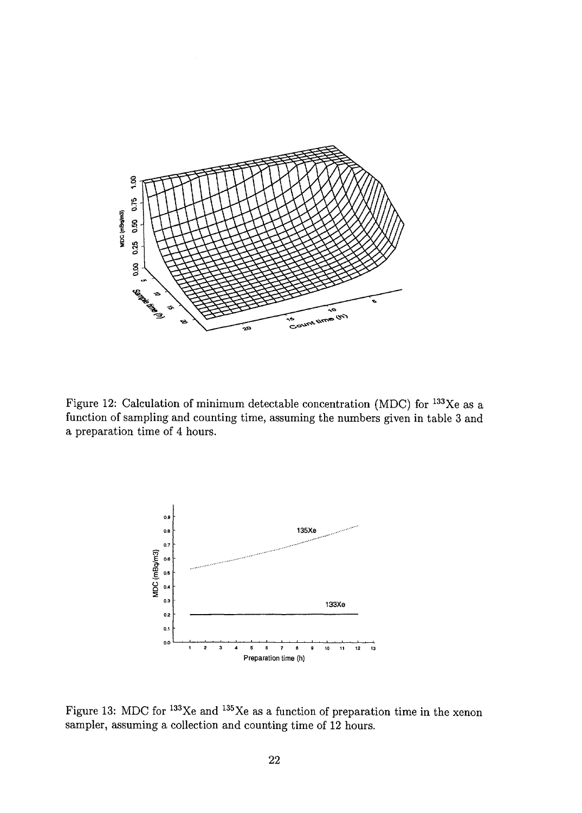

Figure 12: Calculation of minimum detectable concentration (MDC) for <sup>133</sup>Xe as a function of sampling and counting time, assuming the numbers given in table 3 and a preparation time of 4 hours.



Figure 13: MDC for  $^{133}\text{Xe}$  and  $^{135}\text{Xe}$  as a function of preparation time in the xenor sampler, assuming a collection and counting time of 12 hours.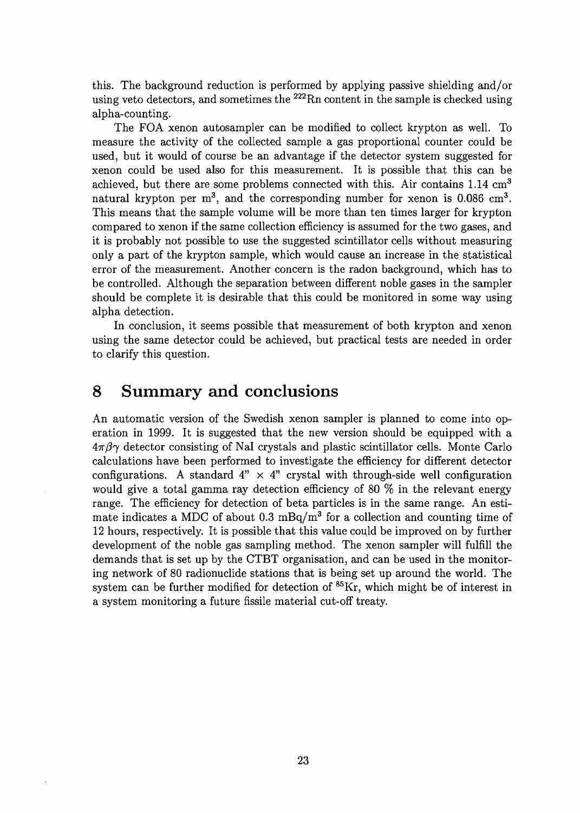this. The background reduction is performed by applying passive shielding and/or using veto detectors, and sometimes the <sup>222</sup>Rn content in the sample is checked using alpha-counting.

The FOA xenon autosampler can be modified to collect krypton as well. To measure the activity of the collected sample a gas proportional counter could be used, but it would of course be an advantage if the detector system suggested for xenon could be used also for this measurement. It is possible that this can be achieved, but there are some problems connected with this. Air contains  $1.14 \text{ cm}^3$ natural krypton per m<sup>3</sup>, and the corresponding number for xenon is  $0.086 \text{ cm}^3$ . This means that the sample volume will be more than ten times larger for krypton compared to xenon if the same collection efficiency is assumed for the two gases, and it is probably not possible to use the suggested scintillator cells without measuring only a part of the krypton sample, which would cause an increase in the statistical error of the measurement. Another concern is the radon background, which has to be controlled. Although the separation between different noble gases in the sampler should be complete it is desirable that this could be monitored in some way using alpha detection.

In conclusion, it seems possible that measurement of both krypton and xenon using the same detector could be achieved, but practical tests are needed in order to clarify this question.

#### 8 Summary and conclusions

An automatic version of the Swedish xenon sampler is planned to come into operation in 1999. It is suggested that the new version should be equipped with a  $4\pi\beta\gamma$  detector consisting of NaI crystals and plastic scintillator cells. Monte Carlo calculations have been performed to investigate the efficiency for different detector configurations. A standard  $4" \times 4"$  crystal with through-side well configuration would give a total gamma ray detection efficiency of 80 *%* in the relevant energy range. The efficiency for detection of beta particles is in the same range. An estimate indicates a MDC of about 0.3 mBq/m<sup>3</sup> for a collection and counting time of 12 hours, respectively. It is possible that this value could be improved on by further development of the noble gas sampling method. The xenon sampler will fulfill the demands that is set up by the CTBT organisation, and can be used in the monitoring network of 80 radionuclide stations that is being set up around the world. The system can be further modified for detection of <sup>85</sup>Kr, which might be of interest in a system monitoring a future fissile material cut-off treaty.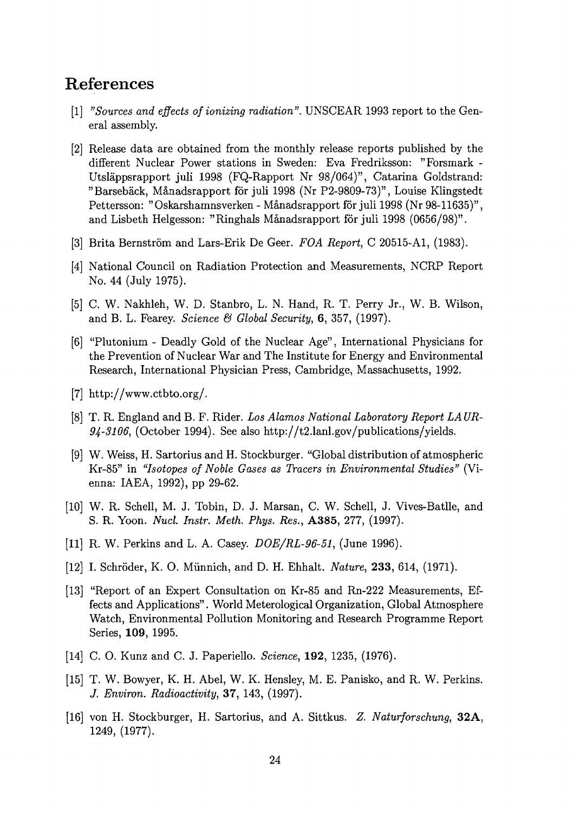#### References

- [1] *"Sources and effects of ionizing radiation".* UNSCEAR 1993 report to the General assembly.
- [2] Release data are obtained from the monthly release reports published by the different Nuclear Power stations in Sweden: Eva Fredriksson: "Forsmark - Utslappsrapport juli 1998 (FQ-Rapport Nr 98/064)", Catarina Goldstrand: "Barsebäck, Månadsrapport för juli 1998 (Nr P2-9809-73)", Louise Klingstedt Pettersson: "Oskarshamnsverken - Månadsrapport för juli 1998 (Nr 98-11635)", and Lisbeth Helgesson: "Ringhals Manadsrapport for juli 1998 (0656/98)".
- [3] Brita Bernström and Lars-Erik De Geer. FOA Report, C 20515-A1, (1983).
- [4] National Council on Radiation Protection and Measurements, NCRP Report No. 44 (July 1975).
- [5] C. W. Nakhleh, W. D. Stanbro, L. N. Hand, R. T. Perry Jr., W. B. Wilson, and B. L. Fearey. *Science & Global Security,* 6, 357, (1997).
- [6] "Plutonium Deadly Gold of the Nuclear Age", International Physicians for the Prevention of Nuclear War and The Institute for Energy and Environmental Research, International Physician Press, Cambridge, Massachusetts, 1992.
- [7] http://www.ctbto.org/.
- [8] T. R. England and B. F. Rider. *Los Alamos National Laboratory Report LAUR-94-3106,* (October 1994). See also http://t2.lanl.gov/publications/yields.
- [9] W. Weiss, H. Sartorius and H. Stockburger. "Global distribution of atmospheric Kr-85" in *"Isotopes of Noble Gases as Tracers in Environmental Studies"* (Vienna: IAEA, 1992), pp 29-62.
- [10] W. R. Schell, M. J. Tobin, D. J. Marsan, C. W. Schell, J. Vives-Batlle, and S. R. Yoon. *Nucl. Instr. Meth. Phys. Res.,* A385, 277, (1997).
- [11] R. W. Perkins and L. A. Casey. *DOE/RL-96-51,* (June 1996).
- [12] I. Schroder, K. O. Miinnich, and D. H. Ehhalt. *Nature,* **233,** 614, (1971).
- [13] "Report of an Expert Consultation on Kr-85 and Rn-222 Measurements, Effects and Applications". World Meterological Organization, Global Atmosphere Watch, Environmental Pollution Monitoring and Research Programme Report Series, **109,** 1995.
- [14] C. O. Kunz and C. J. Paperiello. *Science,* **192,** 1235, (1976).
- [15] T. W. Bowyer, K. H. Abel, W. K. Hensley, M. E. Panisko, and R. W. Perkins. *J. Environ. Radioactivity,* 37, 143, (1997).
- [16] von H. Stockburger, H. Sartorius, and A. Sittkus. *Z. Naturforschung,* **32A,** 1249, (1977).